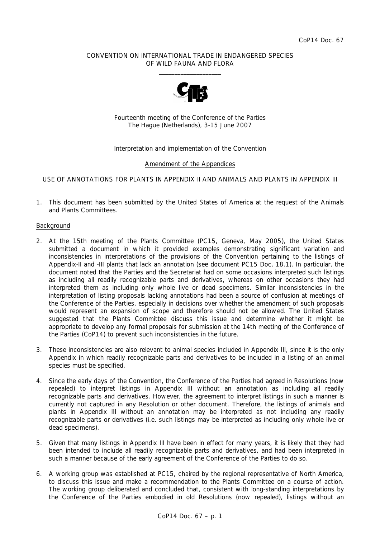#### CONVENTION ON INTERNATIONAL TRADE IN ENDANGERED SPECIES OF WILD FAUNA AND FLORA  $\frac{1}{2}$  , and the set of the set of the set of the set of the set of the set of the set of the set of the set of the set of the set of the set of the set of the set of the set of the set of the set of the set of the set



Fourteenth meeting of the Conference of the Parties The Hague (Netherlands), 3-15 June 2007

# Interpretation and implementation of the Convention

#### Amendment of the Appendices

#### USE OF ANNOTATIONS FOR PLANTS IN APPENDIX II AND ANIMALS AND PLANTS IN APPENDIX III

1. This document has been submitted by the United States of America at the request of the Animals and Plants Committees.

#### Background

- 2. At the 15th meeting of the Plants Committee (PC15, Geneva, May 2005), the United States submitted a document in which it provided examples demonstrating significant variation and inconsistencies in interpretations of the provisions of the Convention pertaining to the listings of Appendix-II and -III plants that lack an annotation (see document PC15 Doc. 18.1). In particular, the document noted that the Parties and the Secretariat had on some occasions interpreted such listings as including all readily recognizable parts and derivatives, whereas on other occasions they had interpreted them as including only whole live or dead specimens. Similar inconsistencies in the interpretation of listing proposals lacking annotations had been a source of confusion at meetings of the Conference of the Parties, especially in decisions over whether the amendment of such proposals would represent an expansion of scope and therefore should not be allowed. The United States suggested that the Plants Committee discuss this issue and determine whether it might be appropriate to develop any formal proposals for submission at the 14th meeting of the Conference of the Parties (CoP14) to prevent such inconsistencies in the future.
- 3. These inconsistencies are also relevant to animal species included in Appendix III, since it is the only Appendix in which readily recognizable parts and derivatives to be included in a listing of an animal species must be specified.
- 4. Since the early days of the Convention, the Conference of the Parties had agreed in Resolutions (now repealed) to interpret listings in Appendix III without an annotation as including all readily recognizable parts and derivatives. However, the agreement to interpret listings in such a manner is currently not captured in any Resolution or other document. Therefore, the listings of animals and plants in Appendix III without an annotation may be interpreted as not including any readily recognizable parts or derivatives (i.e. such listings may be interpreted as including only whole live or dead specimens).
- 5. Given that many listings in Appendix III have been in effect for many years, it is likely that they had been intended to include all readily recognizable parts and derivatives, and had been interpreted in such a manner because of the early agreement of the Conference of the Parties to do so.
- 6. A working group was established at PC15, chaired by the regional representative of North America, to discuss this issue and make a recommendation to the Plants Committee on a course of action. The working group deliberated and concluded that, consistent with long-standing interpretations by the Conference of the Parties embodied in old Resolutions (now repealed), listings without an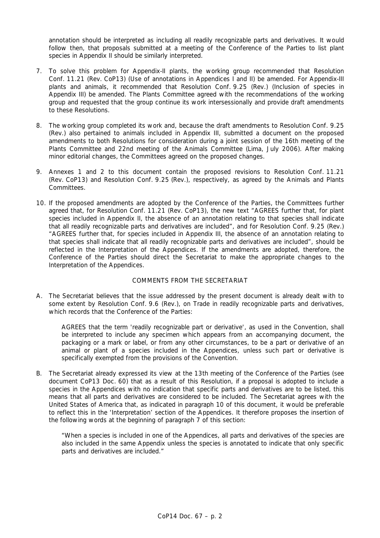annotation should be interpreted as including all readily recognizable parts and derivatives. It would follow then, that proposals submitted at a meeting of the Conference of the Parties to list plant species in Appendix II should be similarly interpreted.

- 7. To solve this problem for Appendix-II plants, the working group recommended that Resolution Conf. 11.21 (Rev. CoP13) (Use of annotations in Appendices I and II) be amended. For Appendix-III plants and animals, it recommended that Resolution Conf. 9.25 (Rev.) (Inclusion of species in Appendix III) be amended. The Plants Committee agreed with the recommendations of the working group and requested that the group continue its work intersessionally and provide draft amendments to these Resolutions.
- 8. The working group completed its work and, because the draft amendments to Resolution Conf. 9.25 (Rev.) also pertained to animals included in Appendix III, submitted a document on the proposed amendments to both Resolutions for consideration during a joint session of the 16th meeting of the Plants Committee and 22nd meeting of the Animals Committee (Lima, July 2006). After making minor editorial changes, the Committees agreed on the proposed changes.
- 9. Annexes 1 and 2 to this document contain the proposed revisions to Resolution Conf. 11.21 (Rev. CoP13) and Resolution Conf. 9.25 (Rev.), respectively, as agreed by the Animals and Plants **Committees**
- 10. If the proposed amendments are adopted by the Conference of the Parties, the Committees further agreed that, for Resolution Conf. 11.21 (Rev. CoP13), the new text "AGREES further that, for plant species included in Appendix II, the absence of an annotation relating to that species shall indicate that all readily recognizable parts and derivatives are included", and for Resolution Conf. 9.25 (Rev.) "AGREES further that, for species included in Appendix III, the absence of an annotation relating to that species shall indicate that all readily recognizable parts and derivatives are included", should be reflected in the Interpretation of the Appendices. If the amendments are adopted, therefore, the Conference of the Parties should direct the Secretariat to make the appropriate changes to the Interpretation of the Appendices.

# COMMENTS FROM THE SECRETARIAT

A. The Secretariat believes that the issue addressed by the present document is already dealt with to some extent by Resolution Conf. 9.6 (Rev.), on Trade in readily recognizable parts and derivatives, which records that the Conference of the Parties:

 *AGREES that the term 'readily recognizable part or derivative', as used in the Convention, shall be interpreted to include any specimen which appears from an accompanying document, the packaging or a mark or label, or from any other circumstances, to be a part or derivative of an animal or plant of a species included in the Appendices, unless such part or derivative is specifically exempted from the provisions of the Convention.* 

B. The Secretariat already expressed its view at the 13th meeting of the Conference of the Parties (see document CoP13 Doc. 60) that as a result of this Resolution, if a proposal is adopted to include a species in the Appendices with no indication that specific parts and derivatives are to be listed, this means that all parts and derivatives are considered to be included. The Secretariat agrees with the United States of America that, as indicated in paragraph 10 of this document, it would be preferable to reflect this in the 'Interpretation' section of the Appendices. It therefore proposes the insertion of the following words at the beginning of paragraph 7 of this section:

 "When a species is included in one of the Appendices, all parts and derivatives of the species are also included in the same Appendix unless the species is annotated to indicate that only specific parts and derivatives are included."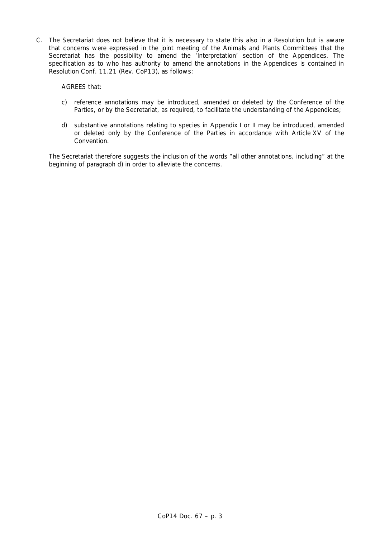C. The Secretariat does not believe that it is necessary to state this also in a Resolution but is aware that concerns were expressed in the joint meeting of the Animals and Plants Committees that the Secretariat has the possibility to amend the 'Interpretation' section of the Appendices. The specification as to who has authority to amend the annotations in the Appendices is contained in Resolution Conf. 11.21 (Rev. CoP13), as follows:

### *AGREES that:*

- *c) reference annotations may be introduced, amended or deleted by the Conference of the Parties, or by the Secretariat, as required, to facilitate the understanding of the Appendices;*
- *d) substantive annotations relating to species in Appendix I or II may be introduced, amended or deleted only by the Conference of the Parties in accordance with Article XV of the Convention.*

 The Secretariat therefore suggests the inclusion of the words "all other annotations, including" at the beginning of paragraph d) in order to alleviate the concerns.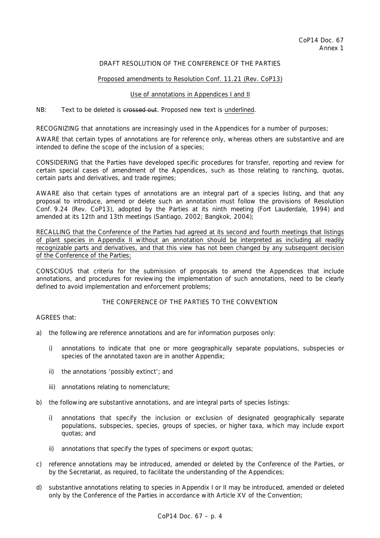# DRAFT RESOLUTION OF THE CONFERENCE OF THE PARTIES

# Proposed amendments to Resolution Conf. 11.21 (Rev. CoP13)

### Use of annotations in Appendices I and II

#### NB: Text to be deleted is crossed out. Proposed new text is underlined.

RECOGNIZING that annotations are increasingly used in the Appendices for a number of purposes;

AWARE that certain types of annotations are for reference only, whereas others are substantive and are intended to define the scope of the inclusion of a species;

CONSIDERING that the Parties have developed specific procedures for transfer, reporting and review for certain special cases of amendment of the Appendices, such as those relating to ranching, quotas, certain parts and derivatives, and trade regimes;

AWARE also that certain types of annotations are an integral part of a species listing, and that any proposal to introduce, amend or delete such an annotation must follow the provisions of Resolution Conf. 9.24 (Rev. CoP13), adopted by the Parties at its ninth meeting (Fort Lauderdale, 1994) and amended at its 12th and 13th meetings (Santiago, 2002; Bangkok, 2004);

RECALLING that the Conference of the Parties had agreed at its second and fourth meetings that listings of plant species in Appendix II without an annotation should be interpreted as including all readily recognizable parts and derivatives, and that this view has not been changed by any subsequent decision of the Conference of the Parties;

CONSCIOUS that criteria for the submission of proposals to amend the Appendices that include annotations, and procedures for reviewing the implementation of such annotations, need to be clearly defined to avoid implementation and enforcement problems;

# THE CONFERENCE OF THE PARTIES TO THE CONVENTION

#### AGREES that:

- a) the following are reference annotations and are for information purposes only:
	- i) annotations to indicate that one or more geographically separate populations, subspecies or species of the annotated taxon are in another Appendix;
	- ii) the annotations 'possibly extinct'; and
	- iii) annotations relating to nomenclature;
- b) the following are substantive annotations, and are integral parts of species listings:
	- i) annotations that specify the inclusion or exclusion of designated geographically separate populations, subspecies, species, groups of species, or higher taxa, which may include export quotas; and
	- ii) annotations that specify the types of specimens or export quotas;
- c) reference annotations may be introduced, amended or deleted by the Conference of the Parties, or by the Secretariat, as required, to facilitate the understanding of the Appendices;
- d) substantive annotations relating to species in Appendix I or II may be introduced, amended or deleted only by the Conference of the Parties in accordance with Article XV of the Convention;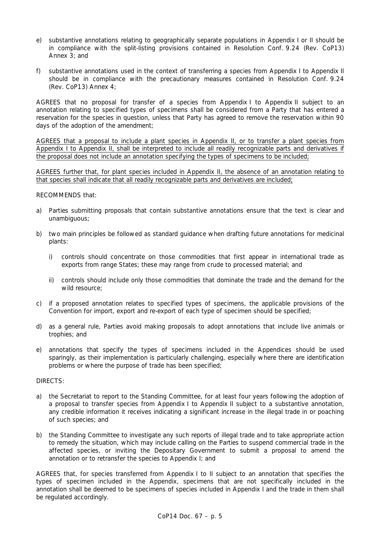- e) substantive annotations relating to geographically separate populations in Appendix I or II should be in compliance with the split-listing provisions contained in Resolution Conf. 9.24 (Rev. CoP13) Annex 3; and
- f) substantive annotations used in the context of transferring a species from Appendix I to Appendix II should be in compliance with the precautionary measures contained in Resolution Conf. 9.24 (Rev. CoP13) Annex 4;

AGREES that no proposal for transfer of a species from Appendix I to Appendix II subject to an annotation relating to specified types of specimens shall be considered from a Party that has entered a reservation for the species in question, unless that Party has agreed to remove the reservation within 90 days of the adoption of the amendment;

AGREES that a proposal to include a plant species in Appendix II, or to transfer a plant species from Appendix I to Appendix II, shall be interpreted to include all readily recognizable parts and derivatives if the proposal does not include an annotation specifying the types of specimens to be included;

AGREES further that, for plant species included in Appendix II, the absence of an annotation relating to that species shall indicate that all readily recognizable parts and derivatives are included;

# RECOMMENDS that:

- a) Parties submitting proposals that contain substantive annotations ensure that the text is clear and unambiguous;
- b) two main principles be followed as standard guidance when drafting future annotations for medicinal plants:
	- i) controls should concentrate on those commodities that first appear in international trade as exports from range States; these may range from crude to processed material; and
	- ii) controls should include only those commodities that dominate the trade and the demand for the wild resource;
- c) if a proposed annotation relates to specified types of specimens, the applicable provisions of the Convention for import, export and re-export of each type of specimen should be specified;
- d) as a general rule, Parties avoid making proposals to adopt annotations that include live animals or trophies; and
- e) annotations that specify the types of specimens included in the Appendices should be used sparingly, as their implementation is particularly challenging, especially where there are identification problems or where the purpose of trade has been specified;

#### DIRECTS:

- a) the Secretariat to report to the Standing Committee, for at least four years following the adoption of a proposal to transfer species from Appendix I to Appendix II subject to a substantive annotation, any credible information it receives indicating a significant increase in the illegal trade in or poaching of such species; and
- b) the Standing Committee to investigate any such reports of illegal trade and to take appropriate action to remedy the situation, which may include calling on the Parties to suspend commercial trade in the affected species, or inviting the Depositary Government to submit a proposal to amend the annotation or to retransfer the species to Appendix I; and

AGREES that, for species transferred from Appendix I to II subject to an annotation that specifies the types of specimen included in the Appendix, specimens that are not specifically included in the annotation shall be deemed to be specimens of species included in Appendix I and the trade in them shall be regulated accordingly.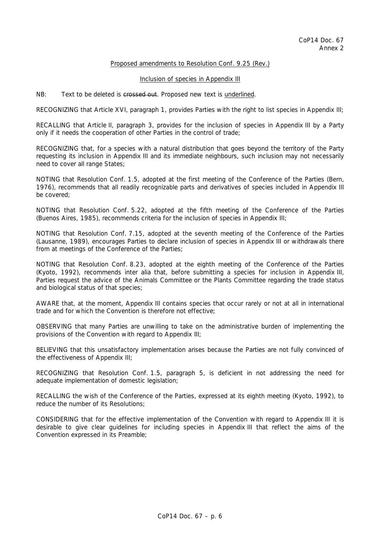### Proposed amendments to Resolution Conf. 9.25 (Rev.)

#### Inclusion of species in Appendix III

NB: Text to be deleted is crossed out. Proposed new text is underlined.

RECOGNIZING that Article XVI, paragraph 1, provides Parties with the right to list species in Appendix III;

RECALLING that Article II, paragraph 3, provides for the inclusion of species in Appendix III by a Party only if it needs the cooperation of other Parties in the control of trade;

RECOGNIZING that, for a species with a natural distribution that goes beyond the territory of the Party requesting its inclusion in Appendix III and its immediate neighbours, such inclusion may not necessarily need to cover all range States;

NOTING that Resolution Conf. 1.5, adopted at the first meeting of the Conference of the Parties (Bern, 1976), recommends that all readily recognizable parts and derivatives of species included in Appendix III be covered;

NOTING that Resolution Conf. 5.22, adopted at the fifth meeting of the Conference of the Parties (Buenos Aires, 1985), recommends criteria for the inclusion of species in Appendix III;

NOTING that Resolution Conf. 7.15, adopted at the seventh meeting of the Conference of the Parties (Lausanne, 1989), encourages Parties to declare inclusion of species in Appendix III or withdrawals there from at meetings of the Conference of the Parties;

NOTING that Resolution Conf. 8.23, adopted at the eighth meeting of the Conference of the Parties (Kyoto, 1992), recommends *inter alia* that, before submitting a species for inclusion in Appendix III, Parties request the advice of the Animals Committee or the Plants Committee regarding the trade status and biological status of that species;

AWARE that, at the moment, Appendix III contains species that occur rarely or not at all in international trade and for which the Convention is therefore not effective;

OBSERVING that many Parties are unwilling to take on the administrative burden of implementing the provisions of the Convention with regard to Appendix III;

BELIEVING that this unsatisfactory implementation arises because the Parties are not fully convinced of the effectiveness of Appendix III;

RECOGNIZING that Resolution Conf. 1.5, paragraph 5, is deficient in not addressing the need for adequate implementation of domestic legislation;

RECALLING the wish of the Conference of the Parties, expressed at its eighth meeting (Kyoto, 1992), to reduce the number of its Resolutions;

CONSIDERING that for the effective implementation of the Convention with regard to Appendix III it is desirable to give clear guidelines for including species in Appendix III that reflect the aims of the Convention expressed in its Preamble;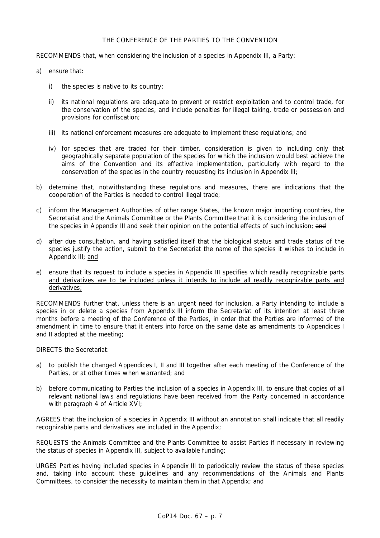### THE CONFERENCE OF THE PARTIES TO THE CONVENTION

RECOMMENDS that, when considering the inclusion of a species in Appendix III, a Party:

- a) ensure that:
	- i) the species is native to its country;
	- ii) its national regulations are adequate to prevent or restrict exploitation and to control trade, for the conservation of the species, and include penalties for illegal taking, trade or possession and provisions for confiscation;
	- iii) its national enforcement measures are adequate to implement these regulations; and
	- iv) for species that are traded for their timber, consideration is given to including only that geographically separate population of the species for which the inclusion would best achieve the aims of the Convention and its effective implementation, particularly with regard to the conservation of the species in the country requesting its inclusion in Appendix III;
- b) determine that, notwithstanding these regulations and measures, there are indications that the cooperation of the Parties is needed to control illegal trade;
- c) inform the Management Authorities of other range States, the known major importing countries, the Secretariat and the Animals Committee or the Plants Committee that it is considering the inclusion of the species in Appendix III and seek their opinion on the potential effects of such inclusion; and
- d) after due consultation, and having satisfied itself that the biological status and trade status of the species justify the action, submit to the Secretariat the name of the species it wishes to include in Appendix III; and
- e) ensure that its request to include a species in Appendix III specifies which readily recognizable parts and derivatives are to be included unless it intends to include all readily recognizable parts and derivatives;

RECOMMENDS further that, unless there is an urgent need for inclusion, a Party intending to include a species in or delete a species from Appendix III inform the Secretariat of its intention at least three months before a meeting of the Conference of the Parties, in order that the Parties are informed of the amendment in time to ensure that it enters into force on the same date as amendments to Appendices I and II adopted at the meeting;

DIRECTS the Secretariat:

- a) to publish the changed Appendices I, II and III together after each meeting of the Conference of the Parties, or at other times when warranted; and
- b) before communicating to Parties the inclusion of a species in Appendix III, to ensure that copies of all relevant national laws and regulations have been received from the Party concerned in accordance with paragraph 4 of Article XVI;

AGREES that the inclusion of a species in Appendix III without an annotation shall indicate that all readily recognizable parts and derivatives are included in the Appendix;

REQUESTS the Animals Committee and the Plants Committee to assist Parties if necessary in reviewing the status of species in Appendix III, subject to available funding;

URGES Parties having included species in Appendix III to periodically review the status of these species and, taking into account these guidelines and any recommendations of the Animals and Plants Committees, to consider the necessity to maintain them in that Appendix; and